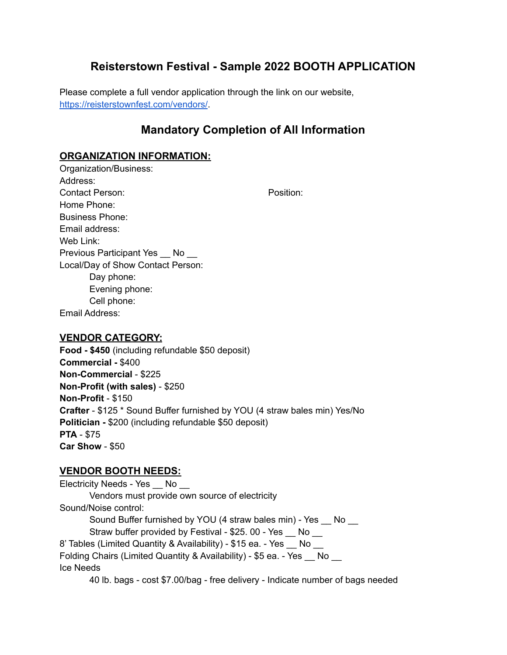# **Reisterstown Festival - Sample 2022 BOOTH APPLICATION**

Please complete a full vendor application through the link on our website, https://reisterstownfest.com/vendors/.

## **Mandatory Completion of All Information**

#### **ORGANIZATION INFORMATION:**

Organization/Business: Address: Contact Person: **Position:** Position: Home Phone: Business Phone: Email address: Web Link: Previous Participant Yes \_\_ No \_\_ Local/Day of Show Contact Person: Day phone: Evening phone: Cell phone:

Email Address:

#### **VENDOR CATEGORY:**

**Food - \$450** (including refundable \$50 deposit) **Commercial -** \$400 **Non-Commercial** - \$225 **Non-Profit (with sales)** - \$250 **Non-Profit** - \$150 **Crafter** - \$125 \* Sound Buffer furnished by YOU (4 straw bales min) Yes/No **Politician -** \$200 (including refundable \$50 deposit) **PTA** - \$75 **Car Show** - \$50

#### **VENDOR BOOTH NEEDS:**

Electricity Needs - Yes \_ No \_ Vendors must provide own source of electricity Sound/Noise control: Sound Buffer furnished by YOU (4 straw bales min) - Yes \_\_ No \_\_ Straw buffer provided by Festival - \$25. 00 - Yes \_\_ No \_\_ 8' Tables (Limited Quantity & Availability) - \$15 ea. - Yes No Folding Chairs (Limited Quantity & Availability) - \$5 ea. - Yes \_\_ No \_\_ Ice Needs 40 lb. bags - cost \$7.00/bag - free delivery - Indicate number of bags needed